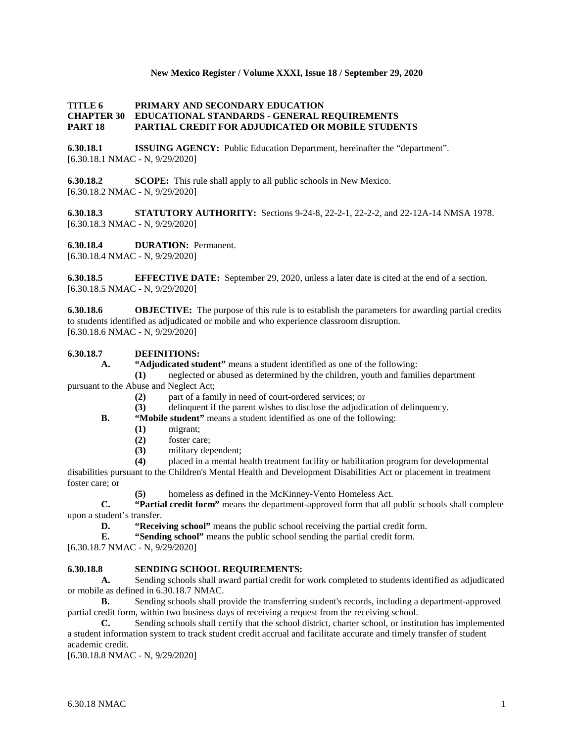## **New Mexico Register / Volume XXXI, Issue 18 / September 29, 2020**

## **TITLE 6 PRIMARY AND SECONDARY EDUCATION CHAPTER 30 EDUCATIONAL STANDARDS - GENERAL REQUIREMENTS PART 18 PARTIAL CREDIT FOR ADJUDICATED OR MOBILE STUDENTS**

**6.30.18.1 ISSUING AGENCY:** Public Education Department, hereinafter the "department". [6.30.18.1 NMAC - N, 9/29/2020]

**6.30.18.2 SCOPE:** This rule shall apply to all public schools in New Mexico. [6.30.18.2 NMAC - N, 9/29/2020]

**6.30.18.3 STATUTORY AUTHORITY:** Sections 9-24-8, 22-2-1, 22-2-2, and 22-12A-14 NMSA 1978. [6.30.18.3 NMAC - N, 9/29/2020]

**6.30.18.4 DURATION:** Permanent. [6.30.18.4 NMAC - N, 9/29/2020]

**6.30.18.5 EFFECTIVE DATE:** September 29, 2020, unless a later date is cited at the end of a section. [6.30.18.5 NMAC - N, 9/29/2020]

**6.30.18.6 OBJECTIVE:** The purpose of this rule is to establish the parameters for awarding partial credits to students identified as adjudicated or mobile and who experience classroom disruption. [6.30.18.6 NMAC - N, 9/29/2020]

# **6.30.18.7 DEFINITIONS:**

**A. "Adjudicated student"** means a student identified as one of the following:

**(1)** neglected or abused as determined by the children, youth and families department pursuant to the Abuse and Neglect Act;

- **(2)** part of a family in need of court-ordered services; or
- **(3)** delinquent if the parent wishes to disclose the adjudication of delinquency.
- **B. "Mobile student"** means a student identified as one of the following:
	- **(1)** migrant;
		- foster care;
	- **(3)** military dependent;
	- **(4)** placed in a mental health treatment facility or habilitation program for developmental

disabilities pursuant to the Children's Mental Health and Development Disabilities Act or placement in treatment foster care; or

**(5)** homeless as defined in the McKinney-Vento Homeless Act.

**C. "Partial credit form"** means the department-approved form that all public schools shall complete upon a student's transfer.

**D. "Receiving school"** means the public school receiving the partial credit form.<br>**E. "Sending school"** means the public school sending the partial credit form.

**E. "Sending school"** means the public school sending the partial credit form.

[6.30.18.7 NMAC - N, 9/29/2020]

#### **6.30.18.8 SENDING SCHOOL REQUIREMENTS:**

**A.** Sending schools shall award partial credit for work completed to students identified as adjudicated or mobile as defined in 6.30.18.7 NMAC.

**B.** Sending schools shall provide the transferring student's records, including a department-approved partial credit form, within two business days of receiving a request from the receiving school.

**C.** Sending schools shall certify that the school district, charter school, or institution has implemented a student information system to track student credit accrual and facilitate accurate and timely transfer of student academic credit.

[6.30.18.8 NMAC - N, 9/29/2020]